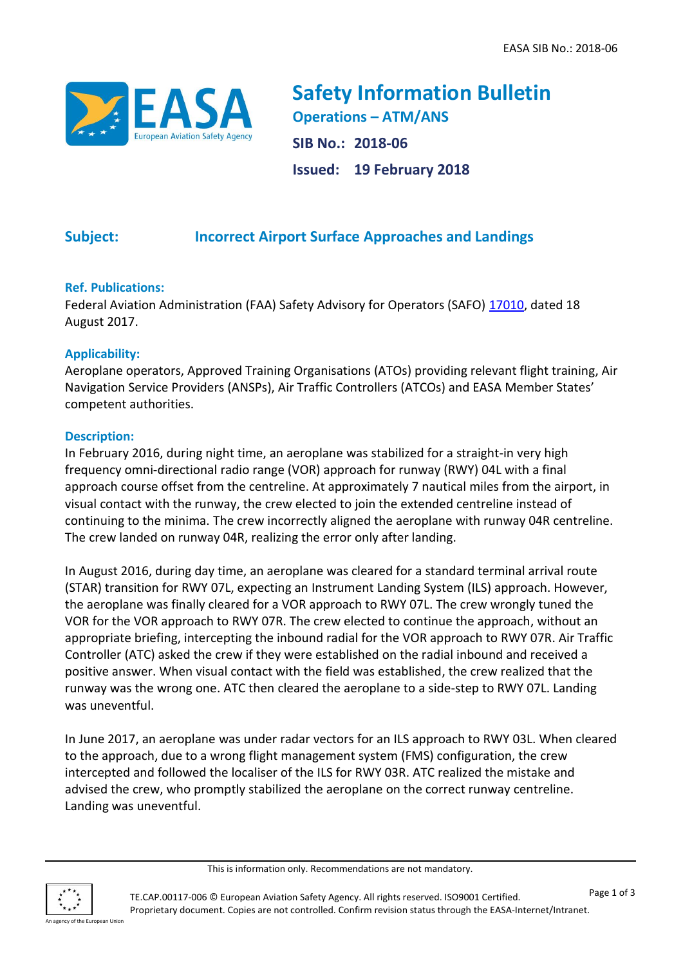

**Safety Information Bulletin Operations – ATM/ANS SIB No.: 2018-06 Issued: 19 February 2018**

# **Subject: Incorrect Airport Surface Approaches and Landings**

## **Ref. Publications:**

Federal Aviation Administration (FAA) Safety Advisory for Operators (SAFO) [17010,](https://www.faa.gov/other_visit/aviation_industry/airline_operators/airline_safety/safo/all_safos/media/2017/SAFO17010.pdf) dated 18 August 2017.

### **Applicability:**

Aeroplane operators, Approved Training Organisations (ATOs) providing relevant flight training, Air Navigation Service Providers (ANSPs), Air Traffic Controllers (ATCOs) and EASA Member States' competent authorities.

#### **Description:**

In February 2016, during night time, an aeroplane was stabilized for a straight-in very high frequency omni-directional radio range (VOR) approach for runway (RWY) 04L with a final approach course offset from the centreline. At approximately 7 nautical miles from the airport, in visual contact with the runway, the crew elected to join the extended centreline instead of continuing to the minima. The crew incorrectly aligned the aeroplane with runway 04R centreline. The crew landed on runway 04R, realizing the error only after landing.

In August 2016, during day time, an aeroplane was cleared for a standard terminal arrival route (STAR) transition for RWY 07L, expecting an Instrument Landing System (ILS) approach. However, the aeroplane was finally cleared for a VOR approach to RWY 07L. The crew wrongly tuned the VOR for the VOR approach to RWY 07R. The crew elected to continue the approach, without an appropriate briefing, intercepting the inbound radial for the VOR approach to RWY 07R. Air Traffic Controller (ATC) asked the crew if they were established on the radial inbound and received a positive answer. When visual contact with the field was established, the crew realized that the runway was the wrong one. ATC then cleared the aeroplane to a side-step to RWY 07L. Landing was uneventful.

In June 2017, an aeroplane was under radar vectors for an ILS approach to RWY 03L. When cleared to the approach, due to a wrong flight management system (FMS) configuration, the crew intercepted and followed the localiser of the ILS for RWY 03R. ATC realized the mistake and advised the crew, who promptly stabilized the aeroplane on the correct runway centreline. Landing was uneventful.



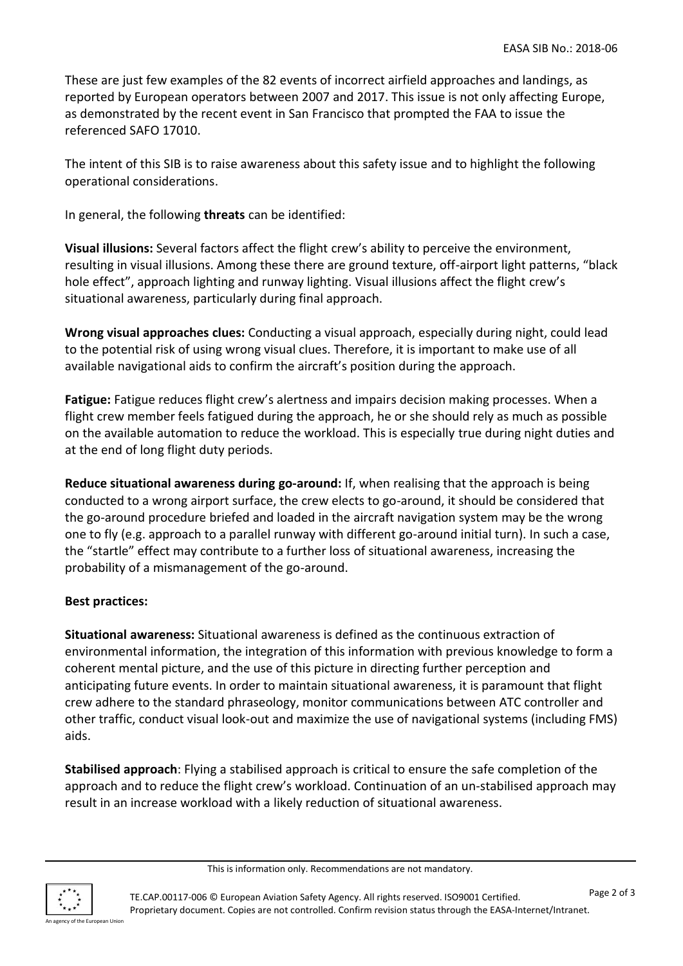These are just few examples of the 82 events of incorrect airfield approaches and landings, as reported by European operators between 2007 and 2017. This issue is not only affecting Europe, as demonstrated by the recent event in San Francisco that prompted the FAA to issue the referenced SAFO 17010.

The intent of this SIB is to raise awareness about this safety issue and to highlight the following operational considerations.

In general, the following **threats** can be identified:

**Visual illusions:** Several factors affect the flight crew's ability to perceive the environment, resulting in visual illusions. Among these there are ground texture, off-airport light patterns, "black hole effect", approach lighting and runway lighting. Visual illusions affect the flight crew's situational awareness, particularly during final approach.

**Wrong visual approaches clues:** Conducting a visual approach, especially during night, could lead to the potential risk of using wrong visual clues. Therefore, it is important to make use of all available navigational aids to confirm the aircraft's position during the approach.

**Fatigue:** Fatigue reduces flight crew's alertness and impairs decision making processes. When a flight crew member feels fatigued during the approach, he or she should rely as much as possible on the available automation to reduce the workload. This is especially true during night duties and at the end of long flight duty periods.

**Reduce situational awareness during go-around:** If, when realising that the approach is being conducted to a wrong airport surface, the crew elects to go-around, it should be considered that the go-around procedure briefed and loaded in the aircraft navigation system may be the wrong one to fly (e.g. approach to a parallel runway with different go-around initial turn). In such a case, the "startle" effect may contribute to a further loss of situational awareness, increasing the probability of a mismanagement of the go-around.

## **Best practices:**

**Situational awareness:** Situational awareness is defined as the continuous extraction of environmental information, the integration of this information with previous knowledge to form a coherent mental picture, and the use of this picture in directing further perception and anticipating future events. In order to maintain situational awareness, it is paramount that flight crew adhere to the standard phraseology, monitor communications between ATC controller and other traffic, conduct visual look-out and maximize the use of navigational systems (including FMS) aids.

**Stabilised approach**: Flying a stabilised approach is critical to ensure the safe completion of the approach and to reduce the flight crew's workload. Continuation of an un-stabilised approach may result in an increase workload with a likely reduction of situational awareness.

This is information only. Recommendations are not mandatory.



TE.CAP.00117-006 © European Aviation Safety Agency. All rights reserved. ISO9001 Certified. Proprietary document. Copies are not controlled. Confirm revision status through the EASA-Internet/Intranet.